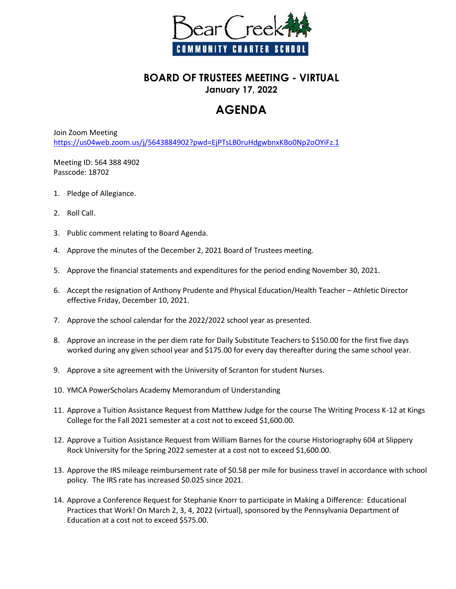

## **BOARD OF TRUSTEES MEETING - VIRTUAL January 17, 2022**

## **AGENDA**

Join Zoom Meeting <https://us04web.zoom.us/j/5643884902?pwd=EjPTsLB0ruHdgwbnxKBo0Np2oOYiFz.1>

Meeting ID: 564 388 4902 Passcode: 18702

- 1. Pledge of Allegiance.
- 2. Roll Call.
- 3. Public comment relating to Board Agenda.
- 4. Approve the minutes of the December 2, 2021 Board of Trustees meeting.
- 5. Approve the financial statements and expenditures for the period ending November 30, 2021.
- 6. Accept the resignation of Anthony Prudente and Physical Education/Health Teacher Athletic Director effective Friday, December 10, 2021.
- 7. Approve the school calendar for the 2022/2022 school year as presented.
- 8. Approve an increase in the per diem rate for Daily Substitute Teachers to \$150.00 for the first five days worked during any given school year and \$175.00 for every day thereafter during the same school year.
- 9. Approve a site agreement with the University of Scranton for student Nurses.
- 10. YMCA PowerScholars Academy Memorandum of Understanding
- 11. Approve a Tuition Assistance Request from Matthew Judge for the course The Writing Process K-12 at Kings College for the Fall 2021 semester at a cost not to exceed \$1,600.00.
- 12. Approve a Tuition Assistance Request from William Barnes for the course Historiography 604 at Slippery Rock University for the Spring 2022 semester at a cost not to exceed \$1,600.00.
- 13. Approve the IRS mileage reimbursement rate of \$0.58 per mile for business travel in accordance with school policy. The IRS rate has increased \$0.025 since 2021.
- 14. Approve a Conference Request for Stephanie Knorr to participate in Making a Difference: Educational Practices that Work! On March 2, 3, 4, 2022 (virtual), sponsored by the Pennsylvania Department of Education at a cost not to exceed \$575.00.